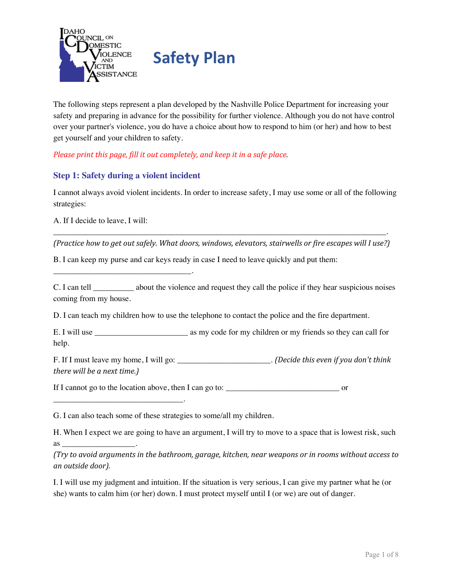

The following steps represent a plan developed by the Nashville Police Department for increasing your safety and preparing in advance for the possibility for further violence. Although you do not have control over your partner's violence, you do have a choice about how to respond to him (or her) and how to best get yourself and your children to safety.

*Please print this page, fill it out completely, and keep it in a safe place.*

### **Step 1: Safety during a violent incident**

\_\_\_\_\_\_\_\_\_\_\_\_\_\_\_\_\_\_\_\_\_\_\_\_\_\_\_\_\_\_\_\_\_\_.

\_\_\_\_\_\_\_\_\_\_\_\_\_\_\_\_\_\_\_\_\_\_\_\_\_\_\_\_\_\_\_\_.

as  $\sim$ 

I cannot always avoid violent incidents. In order to increase safety, I may use some or all of the following strategies:

A. If I decide to leave, I will:

\_\_\_\_\_\_\_\_\_\_\_\_\_\_\_\_\_\_\_\_\_\_\_\_\_\_\_\_\_\_\_\_\_\_\_\_\_\_\_\_\_\_\_\_\_\_\_\_\_\_\_\_\_\_\_\_\_\_\_\_\_\_\_\_\_\_\_\_\_\_\_\_\_\_\_\_\_\_\_\_\_\_. *(Practice how to get out safely. What doors, windows, elevators, stairwells or fire escapes will I use?)*

B. I can keep my purse and car keys ready in case I need to leave quickly and put them:

C. I can tell \_\_\_\_\_\_\_\_\_\_ about the violence and request they call the police if they hear suspicious noises coming from my house.

D. I can teach my children how to use the telephone to contact the police and the fire department.

E. I will use \_\_\_\_\_\_\_\_\_\_\_\_\_\_\_\_\_\_\_\_\_\_\_\_\_\_\_\_\_\_\_\_\_ as my code for my children or my friends so they can call for help.

F. If I must leave my home, I will go: \_\_\_\_\_\_\_\_\_\_\_\_\_\_\_\_\_\_\_\_\_\_\_. *(Decide this even if you don't think there will be a next time.)*

If I cannot go to the location above, then I can go to: \_\_\_\_\_\_\_\_\_\_\_\_\_\_\_\_\_\_\_\_\_\_\_\_\_\_\_\_ or

G. I can also teach some of these strategies to some/all my children.

H. When I expect we are going to have an argument, I will try to move to a space that is lowest risk, such

*(Try to avoid arguments in the bathroom, garage, kitchen, near weapons or in rooms without access to an outside door).*

I. I will use my judgment and intuition. If the situation is very serious, I can give my partner what he (or she) wants to calm him (or her) down. I must protect myself until I (or we) are out of danger.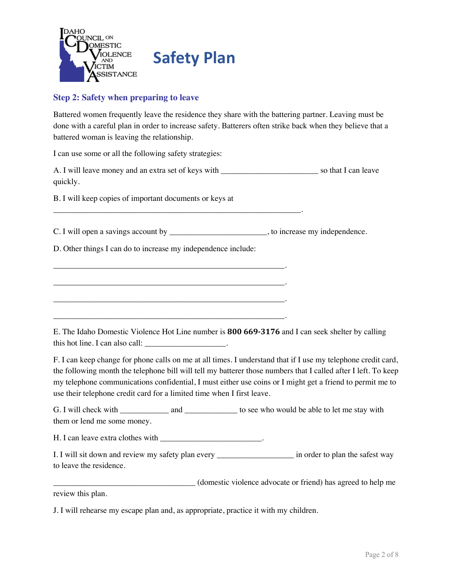

## **Step 2: Safety when preparing to leave**

Battered women frequently leave the residence they share with the battering partner. Leaving must be done with a careful plan in order to increase safety. Batterers often strike back when they believe that a battered woman is leaving the relationship.

I can use some or all the following safety strategies:

A. I will leave money and an extra set of keys with \_\_\_\_\_\_\_\_\_\_\_\_\_\_\_\_\_\_\_\_\_\_\_\_ so that I can leave quickly.

B. I will keep copies of important documents or keys at

C. I will open a savings account by \_\_\_\_\_\_\_\_\_\_\_\_\_\_\_\_\_\_\_\_\_\_\_\_, to increase my independence.

D. Other things I can do to increase my independence include:

\_\_\_\_\_\_\_\_\_\_\_\_\_\_\_\_\_\_\_\_\_\_\_\_\_\_\_\_\_\_\_\_\_\_\_\_\_\_\_\_\_\_\_\_\_\_\_\_\_\_\_\_\_\_\_\_\_.

\_\_\_\_\_\_\_\_\_\_\_\_\_\_\_\_\_\_\_\_\_\_\_\_\_\_\_\_\_\_\_\_\_\_\_\_\_\_\_\_\_\_\_\_\_\_\_\_\_\_\_\_\_\_\_\_\_.

\_\_\_\_\_\_\_\_\_\_\_\_\_\_\_\_\_\_\_\_\_\_\_\_\_\_\_\_\_\_\_\_\_\_\_\_\_\_\_\_\_\_\_\_\_\_\_\_\_\_\_\_\_\_\_\_\_.

\_\_\_\_\_\_\_\_\_\_\_\_\_\_\_\_\_\_\_\_\_\_\_\_\_\_\_\_\_\_\_\_\_\_\_\_\_\_\_\_\_\_\_\_\_\_\_\_\_\_\_\_\_\_\_\_\_\_\_\_\_.

E. The Idaho Domestic Violence Hot Line number is **800 669-3176** and I can seek shelter by calling this hot line. I can also call:

F. I can keep change for phone calls on me at all times. I understand that if I use my telephone credit card, the following month the telephone bill will tell my batterer those numbers that I called after I left. To keep my telephone communications confidential, I must either use coins or I might get a friend to permit me to use their telephone credit card for a limited time when I first leave.

G. I will check with \_\_\_\_\_\_\_\_\_\_\_\_\_\_ and \_\_\_\_\_\_\_\_\_\_\_\_\_\_ to see who would be able to let me stay with them or lend me some money.

H. I can leave extra clothes with \_\_\_\_\_\_\_\_\_\_\_\_\_\_\_\_\_\_\_\_\_\_\_\_\_\_.

I. I will sit down and review my safety plan every \_\_\_\_\_\_\_\_\_\_\_\_\_\_\_\_\_\_\_\_\_\_\_\_\_\_\_\_\_\_ in order to plan the safest way to leave the residence.

\_\_\_\_\_\_\_\_\_\_\_\_\_\_\_\_\_\_\_\_\_\_\_\_\_\_\_\_\_\_\_\_\_\_\_ (domestic violence advocate or friend) has agreed to help me

review this plan.

J. I will rehearse my escape plan and, as appropriate, practice it with my children.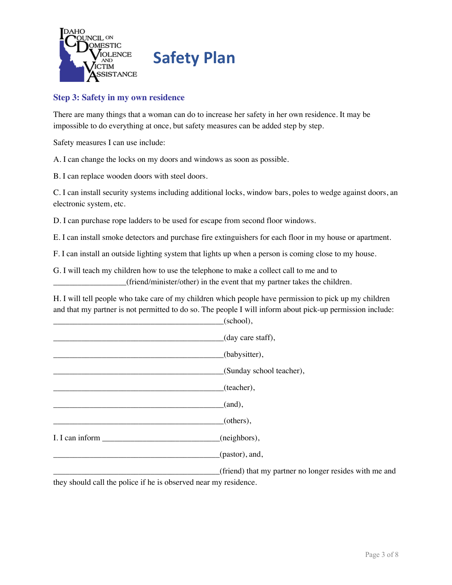

## **Step 3: Safety in my own residence**

There are many things that a woman can do to increase her safety in her own residence. It may be impossible to do everything at once, but safety measures can be added step by step.

Safety measures I can use include:

A. I can change the locks on my doors and windows as soon as possible.

B. I can replace wooden doors with steel doors.

C. I can install security systems including additional locks, window bars, poles to wedge against doors, an electronic system, etc.

D. I can purchase rope ladders to be used for escape from second floor windows.

E. I can install smoke detectors and purchase fire extinguishers for each floor in my house or apartment.

F. I can install an outside lighting system that lights up when a person is coming close to my house.

G. I will teach my children how to use the telephone to make a collect call to me and to \_\_\_\_\_\_\_\_\_\_\_\_\_\_\_\_\_\_(friend/minister/other) in the event that my partner takes the children.

H. I will tell people who take care of my children which people have permission to pick up my children and that my partner is not permitted to do so. The people I will inform about pick-up permission include:  $(school)$ .

|  | $\sim$ $\sim$                                          |
|--|--------------------------------------------------------|
|  | (day care staff),                                      |
|  | (babysitter),                                          |
|  | (Sunday school teacher),                               |
|  | (teacher),                                             |
|  | (and),                                                 |
|  | (others),                                              |
|  | (neighbors),                                           |
|  | (pastor), and,                                         |
|  | (friend) that my partner no longer resides with me and |

they should call the police if he is observed near my residence.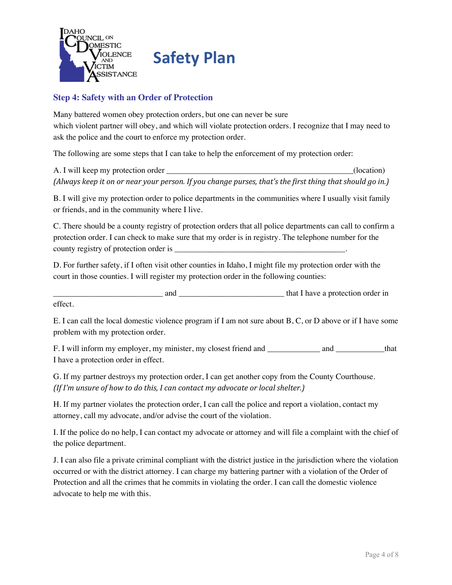

# **Step 4: Safety with an Order of Protection**

Many battered women obey protection orders, but one can never be sure which violent partner will obey, and which will violate protection orders. I recognize that I may need to ask the police and the court to enforce my protection order.

The following are some steps that I can take to help the enforcement of my protection order:

A. I will keep my protection order \_\_\_\_\_\_\_\_\_\_\_\_\_\_\_\_\_\_\_\_\_\_\_\_\_\_\_\_\_\_\_\_\_\_\_\_\_\_\_\_\_\_\_\_\_\_(location) (Always keep it on or near your person. If you change purses, that's the first thing that should go in.)

B. I will give my protection order to police departments in the communities where I usually visit family or friends, and in the community where I live.

C. There should be a county registry of protection orders that all police departments can call to confirm a protection order. I can check to make sure that my order is in registry. The telephone number for the county registry of protection order is

D. For further safety, if I often visit other counties in Idaho, I might file my protection order with the court in those counties. I will register my protection order in the following counties:

and that I have a protection order in effect.

E. I can call the local domestic violence program if I am not sure about B, C, or D above or if I have some problem with my protection order.

F. I will inform my employer, my minister, my closest friend and \_\_\_\_\_\_\_\_\_\_\_\_\_ and \_\_\_\_\_\_\_\_\_\_\_\_that I have a protection order in effect.

G. If my partner destroys my protection order, I can get another copy from the County Courthouse. *(If I'm unsure of how to do this, I can contact my advocate or local shelter.)*

H. If my partner violates the protection order, I can call the police and report a violation, contact my attorney, call my advocate, and/or advise the court of the violation.

I. If the police do no help, I can contact my advocate or attorney and will file a complaint with the chief of the police department.

J. I can also file a private criminal compliant with the district justice in the jurisdiction where the violation occurred or with the district attorney. I can charge my battering partner with a violation of the Order of Protection and all the crimes that he commits in violating the order. I can call the domestic violence advocate to help me with this.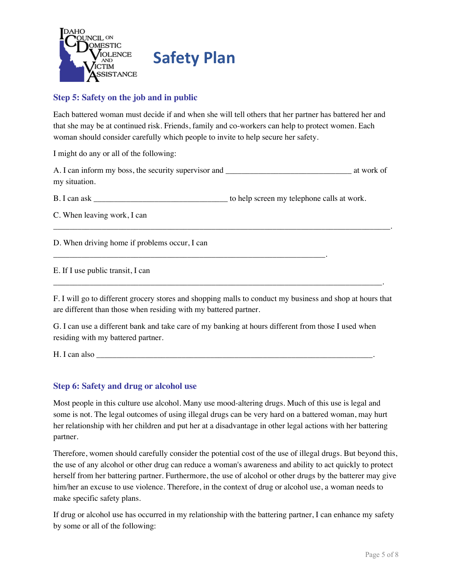

# **Step 5: Safety on the job and in public**

Each battered woman must decide if and when she will tell others that her partner has battered her and that she may be at continued risk. Friends, family and co-workers can help to protect women. Each woman should consider carefully which people to invite to help secure her safety.

I might do any or all of the following:

A. I can inform my boss, the security supervisor and \_\_\_\_\_\_\_\_\_\_\_\_\_\_\_\_\_\_\_\_\_\_\_\_\_\_\_\_\_\_\_ at work of my situation.

\_\_\_\_\_\_\_\_\_\_\_\_\_\_\_\_\_\_\_\_\_\_\_\_\_\_\_\_\_\_\_\_\_\_\_\_\_\_\_\_\_\_\_\_\_\_\_\_\_\_\_\_\_\_\_\_\_\_\_\_\_\_\_\_\_\_\_\_\_\_\_\_\_\_\_\_\_\_\_\_\_\_\_.

B. I can ask \_\_\_\_\_\_\_\_\_\_\_\_\_\_\_\_\_\_\_\_\_\_\_\_\_\_\_\_\_\_\_\_\_ to help screen my telephone calls at work.

\_\_\_\_\_\_\_\_\_\_\_\_\_\_\_\_\_\_\_\_\_\_\_\_\_\_\_\_\_\_\_\_\_\_\_\_\_\_\_\_\_\_\_\_\_\_\_\_\_\_\_\_\_\_\_\_\_\_\_\_\_\_\_\_\_\_\_.

C. When leaving work, I can

D. When driving home if problems occur, I can

E. If I use public transit, I can

F. I will go to different grocery stores and shopping malls to conduct my business and shop at hours that are different than those when residing with my battered partner.

\_\_\_\_\_\_\_\_\_\_\_\_\_\_\_\_\_\_\_\_\_\_\_\_\_\_\_\_\_\_\_\_\_\_\_\_\_\_\_\_\_\_\_\_\_\_\_\_\_\_\_\_\_\_\_\_\_\_\_\_\_\_\_\_\_\_\_\_\_\_\_\_\_\_\_\_\_\_\_\_\_.

G. I can use a different bank and take care of my banking at hours different from those I used when residing with my battered partner.

H. I can also

#### **Step 6: Safety and drug or alcohol use**

Most people in this culture use alcohol. Many use mood-altering drugs. Much of this use is legal and some is not. The legal outcomes of using illegal drugs can be very hard on a battered woman, may hurt her relationship with her children and put her at a disadvantage in other legal actions with her battering partner.

Therefore, women should carefully consider the potential cost of the use of illegal drugs. But beyond this, the use of any alcohol or other drug can reduce a woman's awareness and ability to act quickly to protect herself from her battering partner. Furthermore, the use of alcohol or other drugs by the batterer may give him/her an excuse to use violence. Therefore, in the context of drug or alcohol use, a woman needs to make specific safety plans.

If drug or alcohol use has occurred in my relationship with the battering partner, I can enhance my safety by some or all of the following: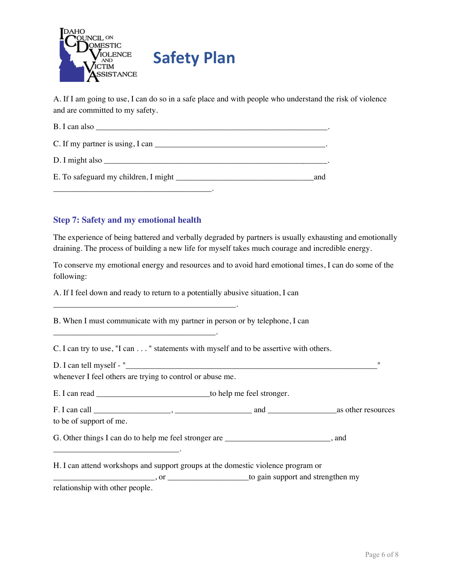

A. If I am going to use, I can do so in a safe place and with people who understand the risk of violence and are committed to my safety.

| $C.$ If my partner is using, I can $\Box$   |
|---------------------------------------------|
| D. I might also                             |
| E. To safeguard my children, I might<br>and |
|                                             |

### **Step 7: Safety and my emotional health**

The experience of being battered and verbally degraded by partners is usually exhausting and emotionally draining. The process of building a new life for myself takes much courage and incredible energy.

To conserve my emotional energy and resources and to avoid hard emotional times, I can do some of the following:

A. If I feel down and ready to return to a potentially abusive situation, I can

B. When I must communicate with my partner in person or by telephone, I can

C. I can try to use, "I can . . . " statements with myself and to be assertive with others.

 $D. I can tell myself - "$ 

whenever I feel others are trying to control or abuse me.

\_\_\_\_\_\_\_\_\_\_\_\_\_\_\_\_\_\_\_\_\_\_\_\_\_\_\_\_\_\_\_\_\_\_\_\_\_\_\_\_\_\_\_\_\_.

\_\_\_\_\_\_\_\_\_\_\_\_\_\_\_\_\_\_\_\_\_\_\_\_\_\_\_\_\_\_\_\_\_\_\_\_\_\_\_\_.

E. I can read \_\_\_\_\_\_\_\_\_\_\_\_\_\_\_\_\_\_\_\_\_\_\_\_\_\_\_\_to help me feel stronger.

F. I can call \_\_\_\_\_\_\_\_\_\_\_\_\_\_\_\_\_\_\_, \_\_\_\_\_\_\_\_\_\_\_\_\_\_\_\_\_\_\_ and \_\_\_\_\_\_\_\_\_\_\_\_\_\_\_\_\_as other resources to be of support of me.

G. Other things I can do to help me feel stronger are \_\_\_\_\_\_\_\_\_\_\_\_\_\_\_\_\_\_\_\_, and

H. I can attend workshops and support groups at the domestic violence program or \_\_\_\_\_\_\_\_\_\_\_\_\_\_\_\_\_\_\_\_\_\_\_\_\_, or \_\_\_\_\_\_\_\_\_\_\_\_\_\_\_\_\_\_\_\_to gain support and strengthen my

relationship with other people.

\_\_\_\_\_\_\_\_\_\_\_\_\_\_\_\_\_\_\_\_\_\_\_\_\_\_\_\_\_\_\_.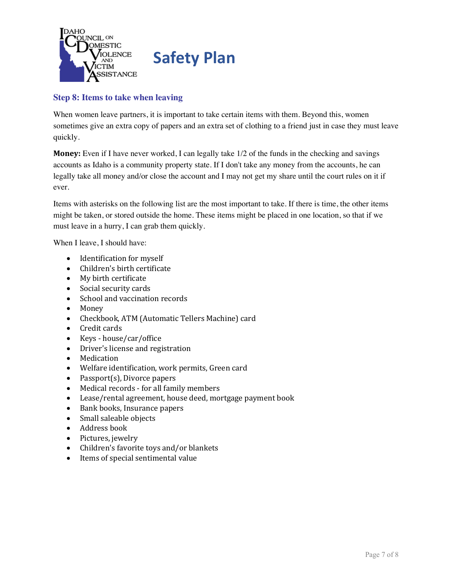

# **Step 8: Items to take when leaving**

When women leave partners, it is important to take certain items with them. Beyond this, women sometimes give an extra copy of papers and an extra set of clothing to a friend just in case they must leave quickly.

**Money:** Even if I have never worked, I can legally take 1/2 of the funds in the checking and savings accounts as Idaho is a community property state. If I don't take any money from the accounts, he can legally take all money and/or close the account and I may not get my share until the court rules on it if ever.

Items with asterisks on the following list are the most important to take. If there is time, the other items might be taken, or stored outside the home. These items might be placed in one location, so that if we must leave in a hurry, I can grab them quickly.

When I leave, I should have:

- Identification for myself
- Children's birth certificate
- My birth certificate
- Social security cards
- School and vaccination records
- Money
- Checkbook, ATM (Automatic Tellers Machine) card
- Credit cards
- Keys house/car/office
- Driver's license and registration
- **Medication**
- Welfare identification, work permits, Green card
- Passport $(s)$ , Divorce papers
- Medical records for all family members
- Lease/rental agreement, house deed, mortgage payment book
- Bank books, Insurance papers
- Small saleable objects
- Address book
- Pictures, jewelry
- Children's favorite toys and/or blankets
- Items of special sentimental value